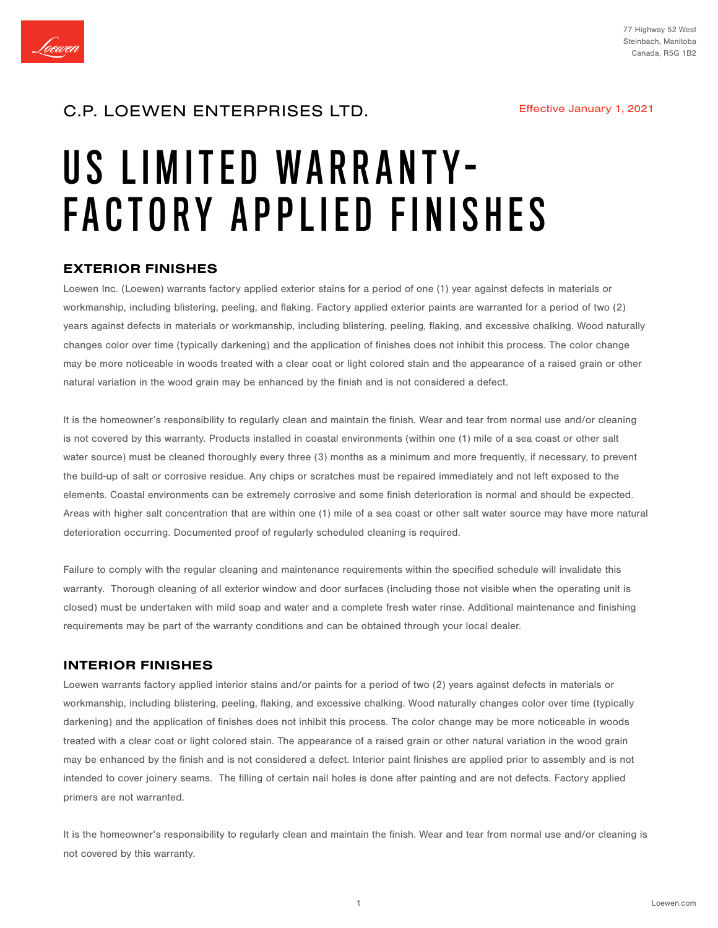

# C.P. LOEWEN ENTERPRISES LTD.

# US LIMITED WARRANTY-FACTORY APPLIED FINISHES

#### EXTERIOR FINISHES

Loewen Inc. (Loewen) warrants factory applied exterior stains for a period of one (1) year against defects in materials or workmanship, including blistering, peeling, and flaking. Factory applied exterior paints are warranted for a period of two (2) years against defects in materials or workmanship, including blistering, peeling, flaking, and excessive chalking. Wood naturally changes color over time (typically darkening) and the application of finishes does not inhibit this process. The color change may be more noticeable in woods treated with a clear coat or light colored stain and the appearance of a raised grain or other natural variation in the wood grain may be enhanced by the finish and is not considered a defect.

It is the homeowner's responsibility to regularly clean and maintain the finish. Wear and tear from normal use and/or cleaning is not covered by this warranty. Products installed in coastal environments (within one (1) mile of a sea coast or other salt water source) must be cleaned thoroughly every three (3) months as a minimum and more frequently, if necessary, to prevent the build-up of salt or corrosive residue. Any chips or scratches must be repaired immediately and not left exposed to the elements. Coastal environments can be extremely corrosive and some finish deterioration is normal and should be expected. Areas with higher salt concentration that are within one (1) mile of a sea coast or other salt water source may have more natural deterioration occurring. Documented proof of regularly scheduled cleaning is required.

Failure to comply with the regular cleaning and maintenance requirements within the specified schedule will invalidate this warranty. Thorough cleaning of all exterior window and door surfaces (including those not visible when the operating unit is closed) must be undertaken with mild soap and water and a complete fresh water rinse. Additional maintenance and finishing requirements may be part of the warranty conditions and can be obtained through your local dealer.

#### INTERIOR FINISHES

Loewen warrants factory applied interior stains and/or paints for a period of two (2) years against defects in materials or workmanship, including blistering, peeling, flaking, and excessive chalking. Wood naturally changes color over time (typically darkening) and the application of finishes does not inhibit this process. The color change may be more noticeable in woods treated with a clear coat or light colored stain. The appearance of a raised grain or other natural variation in the wood grain may be enhanced by the finish and is not considered a defect. Interior paint finishes are applied prior to assembly and is not intended to cover joinery seams. The filling of certain nail holes is done after painting and are not defects. Factory applied primers are not warranted.

It is the homeowner's responsibility to regularly clean and maintain the finish. Wear and tear from normal use and/or cleaning is not covered by this warranty.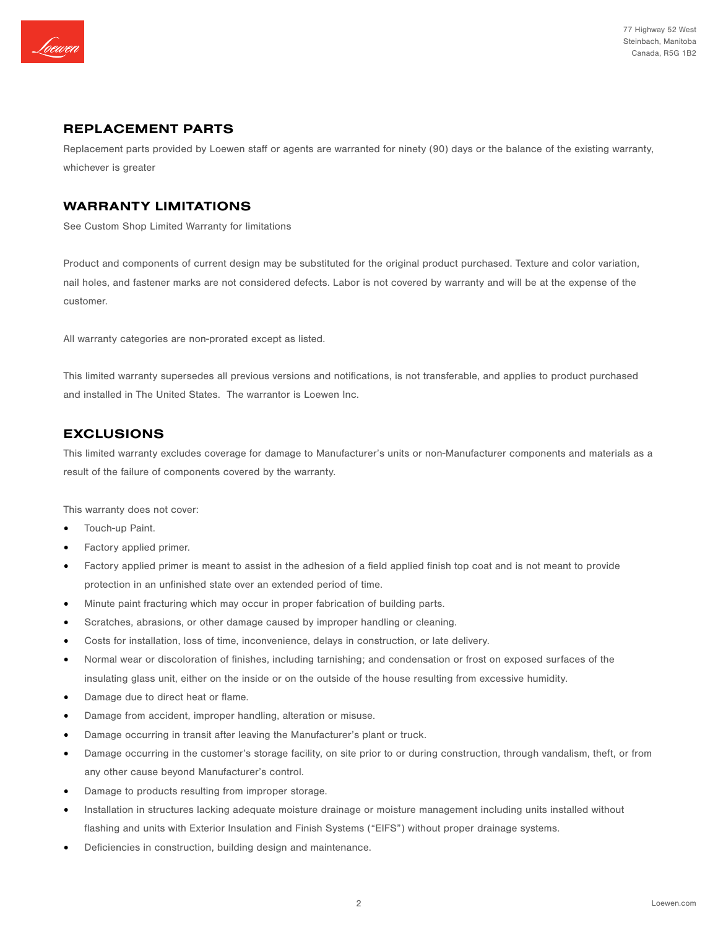

#### REPLACEMENT PARTS

Replacement parts provided by Loewen staff or agents are warranted for ninety (90) days or the balance of the existing warranty, whichever is greater

#### WARRANTY LIMITATIONS

See Custom Shop Limited Warranty for limitations

Product and components of current design may be substituted for the original product purchased. Texture and color variation, nail holes, and fastener marks are not considered defects. Labor is not covered by warranty and will be at the expense of the customer.

All warranty categories are non-prorated except as listed.

This limited warranty supersedes all previous versions and notifications, is not transferable, and applies to product purchased and installed in The United States. The warrantor is Loewen Inc.

### EXCLUSIONS

This limited warranty excludes coverage for damage to Manufacturer's units or non-Manufacturer components and materials as a result of the failure of components covered by the warranty.

This warranty does not cover:

- Touch-up Paint.
- Factory applied primer.
- Factory applied primer is meant to assist in the adhesion of a field applied finish top coat and is not meant to provide protection in an unfinished state over an extended period of time.
- Minute paint fracturing which may occur in proper fabrication of building parts.
- Scratches, abrasions, or other damage caused by improper handling or cleaning.
- Costs for installation, loss of time, inconvenience, delays in construction, or late delivery.
- Normal wear or discoloration of finishes, including tarnishing; and condensation or frost on exposed surfaces of the insulating glass unit, either on the inside or on the outside of the house resulting from excessive humidity.
- Damage due to direct heat or flame.
- Damage from accident, improper handling, alteration or misuse.
- Damage occurring in transit after leaving the Manufacturer's plant or truck.
- Damage occurring in the customer's storage facility, on site prior to or during construction, through vandalism, theft, or from any other cause beyond Manufacturer's control.
- Damage to products resulting from improper storage.
- Installation in structures lacking adequate moisture drainage or moisture management including units installed without flashing and units with Exterior Insulation and Finish Systems ("EIFS") without proper drainage systems.
- Deficiencies in construction, building design and maintenance.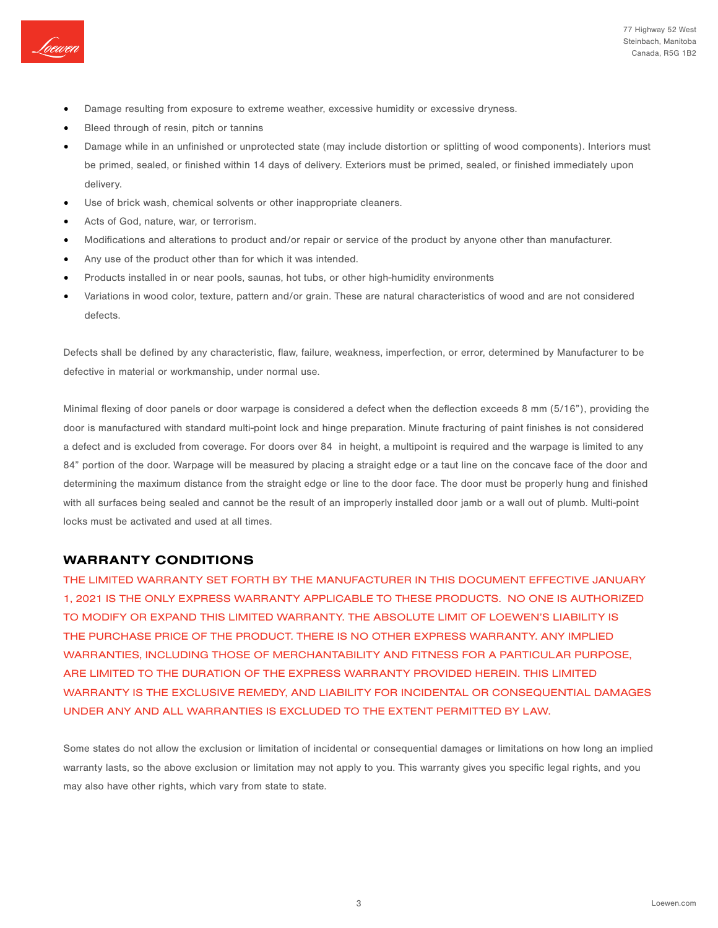

- Damage resulting from exposure to extreme weather, excessive humidity or excessive dryness.
- Bleed through of resin, pitch or tannins
- Damage while in an unfinished or unprotected state (may include distortion or splitting of wood components). Interiors must be primed, sealed, or finished within 14 days of delivery. Exteriors must be primed, sealed, or finished immediately upon delivery.
- Use of brick wash, chemical solvents or other inappropriate cleaners.
- Acts of God, nature, war, or terrorism.
- Modifications and alterations to product and/or repair or service of the product by anyone other than manufacturer.
- Any use of the product other than for which it was intended.
- Products installed in or near pools, saunas, hot tubs, or other high-humidity environments
- Variations in wood color, texture, pattern and/or grain. These are natural characteristics of wood and are not considered defects.

Defects shall be defined by any characteristic, flaw, failure, weakness, imperfection, or error, determined by Manufacturer to be defective in material or workmanship, under normal use.

Minimal flexing of door panels or door warpage is considered a defect when the deflection exceeds 8 mm (5/16"), providing the door is manufactured with standard multi-point lock and hinge preparation. Minute fracturing of paint finishes is not considered a defect and is excluded from coverage. For doors over 84 in height, a multipoint is required and the warpage is limited to any 84" portion of the door. Warpage will be measured by placing a straight edge or a taut line on the concave face of the door and determining the maximum distance from the straight edge or line to the door face. The door must be properly hung and finished with all surfaces being sealed and cannot be the result of an improperly installed door jamb or a wall out of plumb. Multi-point locks must be activated and used at all times.

#### WARRANTY CONDITIONS

THE LIMITED WARRANTY SET FORTH BY THE MANUFACTURER IN THIS DOCUMENT EFFECTIVE JANUARY 1, 2021 IS THE ONLY EXPRESS WARRANTY APPLICABLE TO THESE PRODUCTS. NO ONE IS AUTHORIZED TO MODIFY OR EXPAND THIS LIMITED WARRANTY. THE ABSOLUTE LIMIT OF LOEWEN'S LIABILITY IS THE PURCHASE PRICE OF THE PRODUCT. THERE IS NO OTHER EXPRESS WARRANTY. ANY IMPLIED WARRANTIES, INCLUDING THOSE OF MERCHANTABILITY AND FITNESS FOR A PARTICULAR PURPOSE, ARE LIMITED TO THE DURATION OF THE EXPRESS WARRANTY PROVIDED HEREIN. THIS LIMITED WARRANTY IS THE EXCLUSIVE REMEDY, AND LIABILITY FOR INCIDENTAL OR CONSEQUENTIAL DAMAGES UNDER ANY AND ALL WARRANTIES IS EXCLUDED TO THE EXTENT PERMITTED BY LAW.

Some states do not allow the exclusion or limitation of incidental or consequential damages or limitations on how long an implied warranty lasts, so the above exclusion or limitation may not apply to you. This warranty gives you specific legal rights, and you may also have other rights, which vary from state to state.